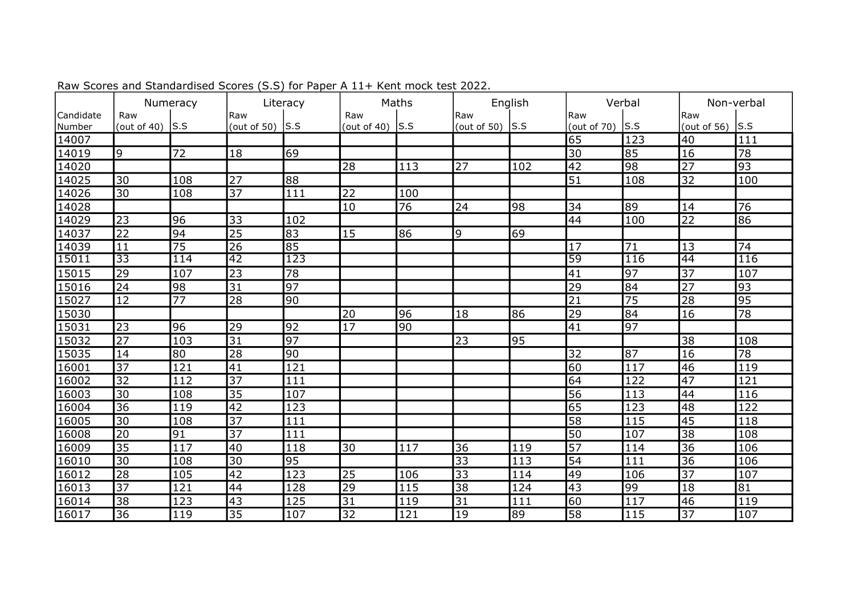|                     | Numeracy              |     | Literacy           |                 | Maths                 |                 | English                        |     | Verbal               |     | Non-verbal         |                  |
|---------------------|-----------------------|-----|--------------------|-----------------|-----------------------|-----------------|--------------------------------|-----|----------------------|-----|--------------------|------------------|
| Candidate<br>Number | Raw<br>(out of $40$ ) | S.S | Raw<br>(out of 50) | ls.s            | Raw<br>(out of $40$ ) | S.S             | Raw<br>(out of 50) $\vert$ S.S |     | l Raw<br>(out of 70) | S.S | Raw<br>(out of 56) | S.S              |
| 14007               |                       |     |                    |                 |                       |                 |                                |     | 65                   | 123 | 40                 | 111              |
| 14019               | 9                     | 72  | 18                 | 69              |                       |                 |                                |     | $\overline{30}$      | 85  | 16                 | 78               |
| 14020               |                       |     |                    |                 | 28                    | 113             | 27                             | 102 | $\overline{42}$      | 98  | $\overline{27}$    | 93               |
| 14025               | 30                    | 108 | 27                 | 88              |                       |                 |                                |     | 51                   | 108 | 32                 | 100              |
| 14026               | 30                    | 108 | 37                 | 111             | 22                    | 100             |                                |     |                      |     |                    |                  |
| 14028               |                       |     |                    |                 | 10                    | $\overline{76}$ | 24                             | 98  | 34                   | 89  | 14                 | 76               |
| 14029               | $\overline{23}$       | 96  | $\overline{33}$    | 102             |                       |                 |                                |     | 44                   | 100 | $\overline{22}$    | 86               |
| 14037               | $\overline{22}$       | 94  | 25                 | 83              | 15                    | 86              | 9                              | 69  |                      |     |                    |                  |
| 14039               | 11                    | 75  | 26                 | 85              |                       |                 |                                |     | 17                   | 71  | 13                 | 74               |
| 15011               | 33                    | 114 | 42                 | 123             |                       |                 |                                |     | 59                   | 116 | 44                 | 116              |
| $\sqrt{15015}$      | $\overline{29}$       | 107 | 23                 | 78              |                       |                 |                                |     | 41                   | 97  | $\overline{37}$    | 107              |
| 15016               | $\overline{24}$       | 98  | $\overline{31}$    | 97              |                       |                 |                                |     | $\overline{29}$      | 84  | $\overline{27}$    | 93               |
| 15027               | <b>12</b>             | 77  | 28                 | 90              |                       |                 |                                |     | 21                   | 75  | 28                 | 95               |
| 15030               |                       |     |                    |                 | 20                    | 96              | 18                             | 86  | 29                   | 84  | 16                 | $\overline{78}$  |
| 15031               | 23                    | 96  | 29                 | 92              | $\overline{17}$       | 90              |                                |     | 41                   | 97  |                    |                  |
| 15032               | $\overline{27}$       | 103 | $\overline{31}$    | $\overline{97}$ |                       |                 | 23                             | 95  |                      |     | $\overline{38}$    | 108              |
| 15035               | 14                    | 80  | 28                 | 90              |                       |                 |                                |     | 32                   | 87  | 16                 | 78               |
| 16001               | $\overline{37}$       | 121 | 41                 | 121             |                       |                 |                                |     | 60                   | 117 | 46                 | 119              |
| 16002               | 32                    | 112 | 37                 | 111             |                       |                 |                                |     | 64                   | 122 | 47                 | 121              |
| 16003               | 30                    | 108 | 35                 | 107             |                       |                 |                                |     | 56                   | 113 | 44                 | $\overline{116}$ |
| 16004               | 36                    | 119 | $\overline{42}$    | 123             |                       |                 |                                |     | 65                   | 123 | 48                 | $\overline{122}$ |
| 16005               | $\overline{30}$       | 108 | $\overline{37}$    | 111             |                       |                 |                                |     | $\overline{58}$      | 115 | $\overline{45}$    | 118              |
| 16008               | 20                    | 91  | 37                 | 111             |                       |                 |                                |     | 50                   | 107 | 38                 | 108              |
| 16009               | 35                    | 117 | 40                 | 118             | 30                    | 117             | 36                             | 119 | $\overline{57}$      | 114 | $\overline{36}$    | 106              |
| 16010               | $\overline{30}$       | 108 | $\overline{30}$    | 95              |                       |                 | $\overline{33}$                | 113 | $\overline{54}$      | 111 | $\overline{36}$    | 106              |
| 16012               | 28                    | 105 | $\overline{42}$    | 123             | $\overline{25}$       | 106             | $\overline{33}$                | 114 | 49                   | 106 | $\overline{37}$    | 107              |
| 16013               | $\overline{37}$       | 121 | 44                 | 128             | 29                    | 115             | $\overline{38}$                | 124 | 43                   | 99  | 18                 | 81               |
| 16014               | 38                    | 123 | 43                 | 125             | $\overline{31}$       | 119             | 31                             | 111 | 60                   | 117 | 46                 | 119              |
| 16017               | 36                    | 119 | 35                 | 107             | $\overline{32}$       | 121             | 19                             | 89  | 58                   | 115 | $\overline{37}$    | 107              |

Raw Scores and Standardised Scores (S.S) for Paper A 11+ Kent mock test 2022.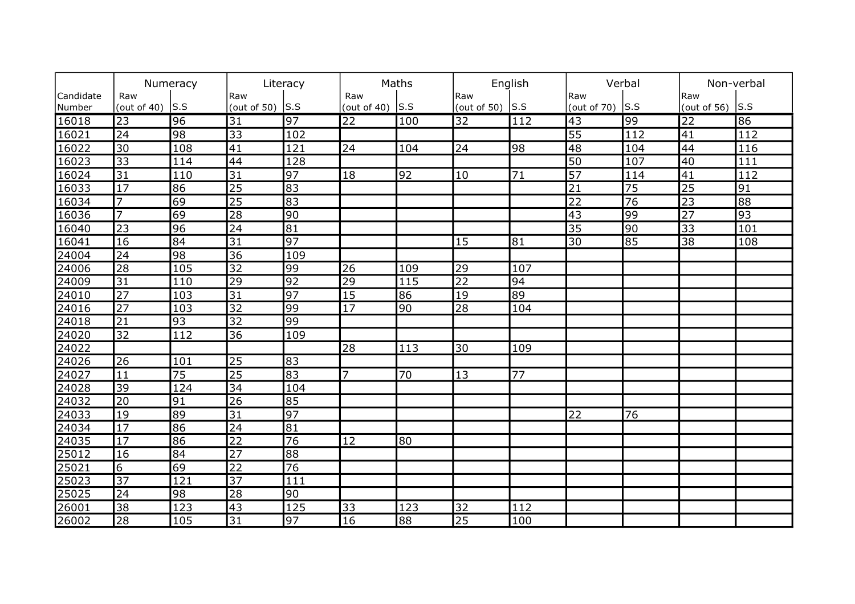|                | Numeracy        |                 | Literacy        |                 | Maths                          |     | English                        |                 | Verbal                  |              | Non-verbal      |     |
|----------------|-----------------|-----------------|-----------------|-----------------|--------------------------------|-----|--------------------------------|-----------------|-------------------------|--------------|-----------------|-----|
| Candidate      | Raw             | S.S             | Raw             | S.S             | Raw<br>(out of 40) $\vert$ S.S |     | Raw<br>(out of 50) $\vert$ S.S |                 | Raw                     |              | Raw             |     |
| Number         | (out of $40$ )  |                 | (out of 50)     |                 |                                |     |                                |                 | (out of 70) $\vert$ S.S |              | (out of $56$ )  | S.S |
| 16018          | $\overline{23}$ | 96              | $\overline{31}$ | $\overline{97}$ | $ 22\rangle$                   | 100 | $\overline{32}$                | 112             | $\overline{43}$         | $ 99\rangle$ | $\overline{22}$ | 86  |
| 16021          | $\overline{24}$ | 98              | 33              | 102             |                                |     |                                |                 | 55                      | 112          | 41              | 112 |
| 16022          | $\overline{30}$ | 108             | $\overline{41}$ | 121             | 24                             | 104 | 24                             | 98              | 48                      | 104          | 44              | 116 |
| 16023          | $\overline{33}$ | 114             | 44              | 128             |                                |     |                                |                 | 50                      | 107          | 40              | 111 |
| 16024          | $\overline{31}$ | 110             | $\overline{31}$ | $\overline{97}$ | 18                             | 92  | 10                             | $\overline{71}$ | $\overline{57}$         | 114          | 41              | 112 |
| 16033          | $\overline{17}$ | 86              | $\overline{25}$ | 83              |                                |     |                                |                 | $\overline{21}$         | 75           | $\overline{25}$ | 91  |
| 16034          | $\overline{7}$  | 69              | $\overline{25}$ | 83              |                                |     |                                |                 | $\overline{22}$         | 76           | $\overline{23}$ | 88  |
| 16036          | $\overline{7}$  | 69              | 28              | $\overline{90}$ |                                |     |                                |                 | $\overline{43}$         | 99           | $\overline{27}$ | 93  |
| 16040          | 23              | 96              | $\overline{24}$ | $\overline{81}$ |                                |     |                                |                 | $\overline{35}$         | 90           | $\overline{33}$ | 101 |
| $\sqrt{16041}$ | 16              | 84              | $\overline{31}$ | 97              |                                |     | 15                             | 81              | 30                      | 85           | $\overline{38}$ | 108 |
| 24004          | $\overline{24}$ | 98              | $\overline{36}$ | 109             |                                |     |                                |                 |                         |              |                 |     |
| 24006          | $\overline{28}$ | 105             | $\overline{32}$ | 99              | 26                             | 109 | 29                             | 107             |                         |              |                 |     |
| 24009          | 31              | 110             | $\overline{29}$ | 92              | $\overline{29}$                | 115 | $\overline{22}$                | 94              |                         |              |                 |     |
| 24010          | $\overline{27}$ | 103             | $\overline{31}$ | 97              | $\overline{15}$                | 86  | 19                             | 89              |                         |              |                 |     |
| 24016          | $\overline{27}$ | 103             | $\overline{32}$ | 99              | $\overline{17}$                | 90  | $\overline{28}$                | 104             |                         |              |                 |     |
| 24018          | $\overline{21}$ | 93              | $\overline{32}$ | 99              |                                |     |                                |                 |                         |              |                 |     |
| 24020          | $\overline{32}$ | 112             | $\overline{36}$ | 109             |                                |     |                                |                 |                         |              |                 |     |
| 24022          |                 |                 |                 |                 | 28                             | 113 | 30                             | 109             |                         |              |                 |     |
| 24026          | 26              | 101             | 25              | 83              |                                |     |                                |                 |                         |              |                 |     |
| 24027          | 11              | $\overline{75}$ | $\overline{25}$ | 83              | $\overline{7}$                 | 70  | 13                             | 77              |                         |              |                 |     |
| 24028          | 39              | 124             | 34              | 104             |                                |     |                                |                 |                         |              |                 |     |
| 24032          | 20              | 91              | 26              | 85              |                                |     |                                |                 |                         |              |                 |     |
| 24033          | $ 19\rangle$    | 89              | $\overline{31}$ | 97              |                                |     |                                |                 | 22                      | 76           |                 |     |
| 24034          | $\overline{17}$ | 86              | $\overline{24}$ | 81              |                                |     |                                |                 |                         |              |                 |     |
| 24035          | $\overline{17}$ | 86              | $\overline{22}$ | $\overline{76}$ | $ 12\rangle$                   | 80  |                                |                 |                         |              |                 |     |
| 25012          | 16              | 84              | $\overline{27}$ | 88              |                                |     |                                |                 |                         |              |                 |     |
| 25021          | $\overline{6}$  | 69              | $\overline{22}$ | $\overline{76}$ |                                |     |                                |                 |                         |              |                 |     |
| 25023          | 37              | 121             | $\overline{37}$ | 111             |                                |     |                                |                 |                         |              |                 |     |
| 25025          | 24              | 98              | $\overline{28}$ | 90              |                                |     |                                |                 |                         |              |                 |     |
| 26001          | 38              | 123             | 43              | 125             | 33                             | 123 | 32                             | 112             |                         |              |                 |     |
| 26002          | 28              | 105             | 31              | 97              | 16                             | 88  | 25                             | 100             |                         |              |                 |     |